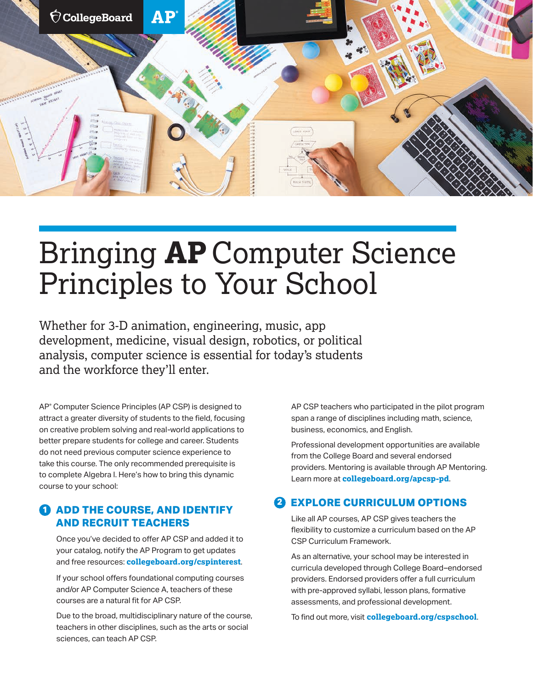

# Bringing **AP** Computer Science Principles to Your School

Whether for 3-D animation, engineering, music, app development, medicine, visual design, robotics, or political analysis, computer science is essential for today's students and the workforce they'll enter.

AP® Computer Science Principles (AP CSP) is designed to attract a greater diversity of students to the field, focusing on creative problem solving and real-world applications to better prepare students for college and career. Students do not need previous computer science experience to take this course. The only recommended prerequisite is to complete Algebra I. Here's how to bring this dynamic course to your school:

## **1 ADD THE COURSE, AND IDENTIFY AND RECRUIT TEACHERS**

Once you've decided to offer AP CSP and added it to your catalog, notify the AP Program to get updates and free resources: **[collegeboard.org/cspinterest](https://collegeboard.tfaforms.net/25?excmpid=MTG332-PR-2-web)**.

If your school offers foundational computing courses and/or AP Computer Science A, teachers of these courses are a natural fit for AP CSP.

Due to the broad, multidisciplinary nature of the course, teachers in other disciplines, such as the arts or social sciences, can teach AP CSP.

AP CSP teachers who participated in the pilot program span a range of disciplines including math, science, business, economics, and English.

Professional development opportunities are available from the College Board and several endorsed providers. Mentoring is available through AP Mentoring. Learn more at **[collegeboard.org/apcsp-pd](https://apcentral.collegeboard.org/courses/ap-computer-science-principles/professional-learning?excmpid=mtg477-pr-1-mat)**.

### *EXPLORE CURRICULUM OPTIONS*

Like all AP courses, AP CSP gives teachers the flexibility to customize a curriculum based on the AP CSP Curriculum Framework.

As an alternative, your school may be interested in curricula developed through College Board–endorsed providers. Endorsed providers offer a full curriculum with pre-approved syllabi, lesson plans, formative assessments, and professional development.

To find out more, visit **[collegeboard.org/cspschool](https://apcentral.collegeboard.org/courses/ap-computer-science-principles/bring-csp-to-your-school?excmpid=MTG332-PR-1-mat)**.